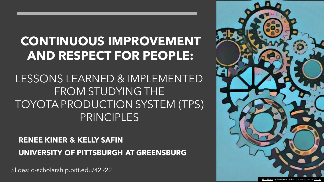### **CONTINUOUS IMPROVEMENT AND RESPECT FOR PEOPLE:**

#### LESSONS LEARNED & IMPLEMENTED FROM STUDYING THE TOYOTA PRODUCTION SYSTEM (TPS) PRINCIPLES

#### **RENEE KINER & KELLY SAFIN UNIVERSITY OF PITTSBURGH AT GREENSBURG**

Slides: d-scholarship.pitt.edu/42922

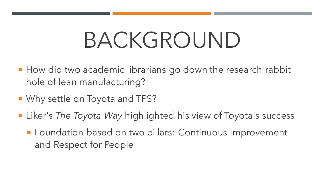# BACKGROUND

- **How did two academic librarians go down the research rabbit** hole of lean manufacturing?
- Why settle on Toyota and TPS?
- Liker's *The Toyota Way* highlighted his view of Toyota's success
	- **Foundation based on two pillars: Continuous Improvement** and Respect for People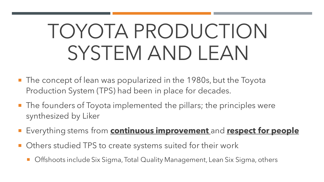# TOYOTA PRODUCTION SYSTEM AND LEAN

- The concept of lean was popularized in the 1980s, but the Toyota Production System (TPS) had been in place for decades.
- The founders of Toyota implemented the pillars; the principles were synthesized by Liker
- Everything stems from **continuous improvement** and **respect for people**
- Others studied TPS to create systems suited for their work
	- **Deam Steph** Offshoots include Six Sigma, Total Quality Management, Lean Six Sigma, others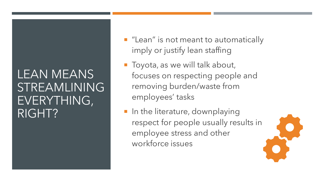#### LEAN MEANS STREAMLINING EVERYTHING, RIGHT?

- **E** "Lean" is not meant to automatically imply or justify lean staffing
- **Toyota, as we will talk about,** focuses on respecting people and removing burden/waste from employees' tasks
- **If** In the literature, downplaying respect for people usually results in employee stress and other workforce issues

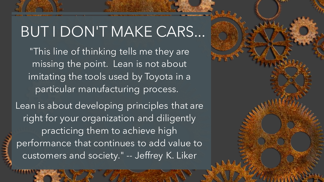### BUT I DON'T MAKE CARS...

"This line of thinking tells me they are missing the point. Lean is not about imitating the tools used by Toyota in a particular manufacturing process.

Lean is about developing principles that are right for your organization and diligently practicing them to achieve high performance that continues to add value to customers and society." -- Jeffrey K. Liker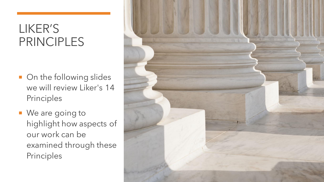### LIKER'S PRINCIPLES

- On the following slides we will review Liker's 14 Principles
- We are going to highlight how aspects of our work can be examined through these Principles

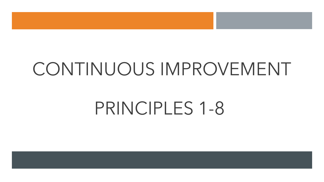## CONTINUOUS IMPROVEMENT

## PRINCIPLES 1-8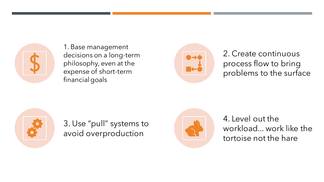

1. Base management decisions on a long-term philosophy, even at the expense of short-term financial goals



2. Create continuous process flow to bring problems to the surface



3. Use "pull" systems to avoid overproduction



4. Level out the workload... work like the tortoise not the hare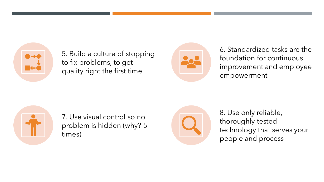

5. Build a culture of stopping to fix problems, to get quality right the first time

![](_page_8_Picture_2.jpeg)

6. Standardized tasks are the foundation for continuous improvement and employee empowerment

![](_page_8_Picture_4.jpeg)

7. Use visual control so no problem is hidden (why? 5 times)

![](_page_8_Picture_6.jpeg)

8. Use only reliable, thoroughly tested technology that serves your people and process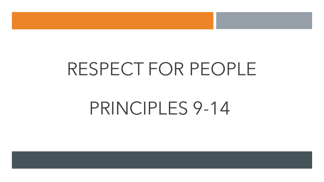### RESPECT FOR PEOPLE

### PRINCIPLES 9-14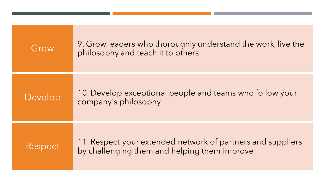| Grow    | 9. Grow leaders who thoroughly understand the work, live the<br>philosophy and teach it to others           |
|---------|-------------------------------------------------------------------------------------------------------------|
| Develop | 10. Develop exceptional people and teams who follow your<br>company's philosophy                            |
| Respect | 11. Respect your extended network of partners and suppliers<br>by challenging them and helping them improve |

,这就是一个人的人,他们也不会不会不会。他们的人,他们也不会不会不会不会。他们的人,他们也不会不会不会不会。他们的人,他们也不会不会不会不会。他们的人,他们也不会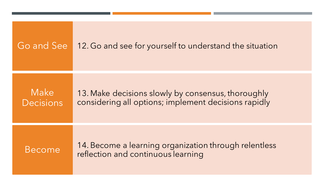| Go and See        | 12. Go and see for yourself to understand the situation                                                    |
|-------------------|------------------------------------------------------------------------------------------------------------|
| Make<br>Decisions | 13. Make decisions slowly by consensus, thoroughly<br>considering all options; implement decisions rapidly |
| Become            | 14. Become a learning organization through relentless<br>reflection and continuous learning                |

,他们的人们也不能不能不能。""我们,你们的人们,你们的人们,你们的人们,你们的人们,你们的人们,你们的人们,你们的人们,你们的人们,你们的人们,你们的人们,你<br>第2015章 我们的人们,我们的人们,我们的人们,我们的人们,我们的人们,我们的人们,我们的人们,我们的人们,我们的人们,我们的人们,我们的人们,我们的人们,我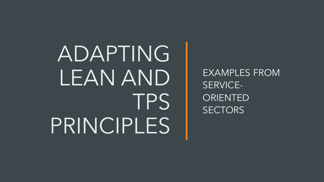ADAPTING LEAN AND **TPS** PRINCIPLES

EXAMPLES FROM SERVICE-ORIENTED **SECTORS**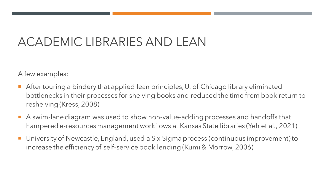#### ACADEMIC LIBRARIES AND LEAN

A few examples:

- After touring a bindery that applied lean principles, U. of Chicago library eliminated bottlenecks in their processes for shelving books and reduced the time from book return to reshelving (Kress, 2008)
- A swim-lane diagram was used to show non-value-adding processes and handoffs that hampered e-resources management workflows at Kansas State libraries (Yeh et al., 2021)
- University of Newcastle, England, used a Six Sigma process (continuous improvement) to increase the efficiency of self-service book lending (Kumi & Morrow, 2006)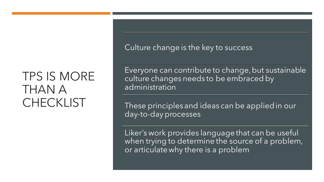#### TPS IS MORE THAN A CHECKLIST

Culture change is the key to success

Everyone can contribute to change, but sustainable culture changes needs to be embraced by administration

These principles and ideas can be applied in our day-to-day processes

Liker's work provides language that can be useful when trying to determine the source of a problem, or articulate why there is a problem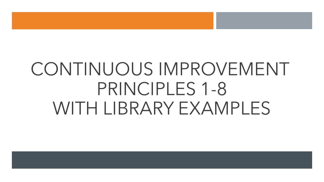## CONTINUOUS IMPROVEMENT PRINCIPLES 1-8 WITH LIBRARY EXAMPLES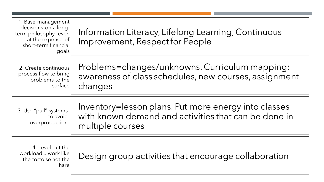| 1. Base management<br>decisions on a long-<br>term philosophy, even<br>at the expense of<br>short-term financial<br>goals | Information Literacy, Lifelong Learning, Continuous<br>Improvement, Respect for People |
|---------------------------------------------------------------------------------------------------------------------------|----------------------------------------------------------------------------------------|
|                                                                                                                           |                                                                                        |

2. Create continuous process flow to bring problems to the surface

Problems=changes/unknowns. Curriculum mapping; awareness of class schedules, new courses, assignment changes

3. Use "pull" systems to avoid overproduction

Inventory=lesson plans. Put more energy into classes with known demand and activities that can be done in multiple courses

4. Level out the workload... work like the tortoise not the hare

Design group activities that encourage collaboration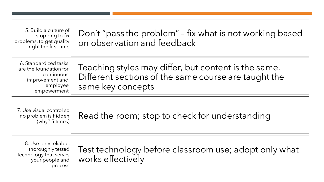5. Build a culture of stopping to fix problems, to get quality right the first time

Don't "pass the problem" – fix what is not working based on observation and feedback

6. Standardized tasks are the foundation for continuous improvement and employee empowerment

Teaching styles may differ, but content is the same. Different sections of the same course are taught the same key concepts

7. Use visual control so no problem is hidden (why? 5 times)

Read the room; stop to check for understanding

8. Use only reliable, thoroughly tested technology that serves your people and process

Test technology before classroom use; adopt only what works effectively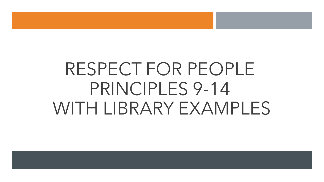## RESPECT FOR PEOPLE PRINCIPLES 9-14 WITH LIBRARY EXAMPLES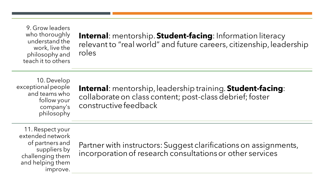9. Grow leaders who thoroughly understand the work, live the philosophy and teach it to others

**Internal**: mentorship. **Student-facing**: Information literacy relevant to "real world" and future careers, citizenship, leadership roles

10. Develop exceptional people and teams who follow your company's philosophy

**Internal**: mentorship, leadership training. **Student-facing**: collaborate on class content; post-class debrief; foster constructive feedback

11. Respect your extended network of partners and suppliers by challenging them and helping them improve.

Partner with instructors: Suggest clarifications on assignments, incorporation of research consultations or other services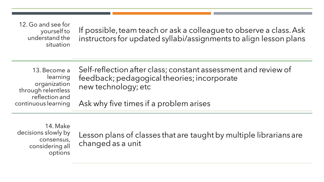12. Go and see for yourself to understand the situation

If possible, team teach or ask a colleague to observe a class. Ask instructors for updated syllabi/assignments to align lesson plans

13. Become a learning organization through relentless reflection and continuous learning

Self-reflection after class; constant assessment and review of feedback; pedagogical theories; incorporate new technology; etc

Ask why five times if a problem arises

14. Make decisions slowly by consensus, considering all options

Lesson plans of classes that are taught by multiple librarians are changed as a unit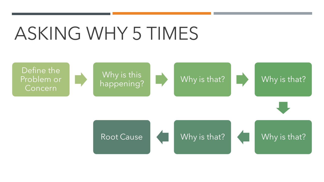## ASKING WHY 5 TIMES

![](_page_21_Figure_1.jpeg)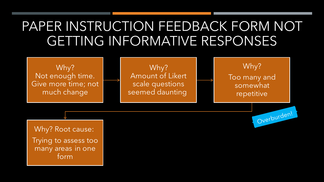### PAPER INSTRUCTION FEEDBACK FORM NOT GETTING INFORMATIVE RESPONSES

Why? Not enough time. Give more time; not much change

Why? Amount of Likert scale questions seemed daunting

Why? Too many and somewhat repetitive

Overburden!

Why? Root cause: Trying to assess too many areas in one form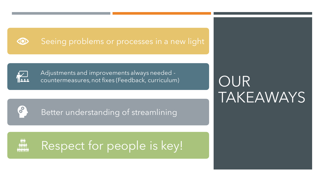![](_page_23_Picture_0.jpeg)

#### Seeing problems or processes in a new light

![](_page_23_Picture_2.jpeg)

8

Adjustments and improvements always needed countermeasures, not fixes (Feedback, curriculum)

Better understanding of streamlining

### Respect for people is key!

### **OUR** TAKEAWAYS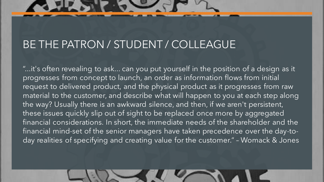#### BE THE PATRON / STUDENT / COLLEAGUE

"...it's often revealing to ask... can you put yourself in the position of a design as it progresses from concept to launch, an order as information flows from initial request to delivered product, and the physical product as it progresses from raw material to the customer, and describe what will happen to you at each step along the way? Usually there is an awkward silence, and then, if we aren't persistent, these issues quickly slip out of sight to be replaced once more by aggregated financial considerations. In short, the immediate needs of the shareholder and the financial mind-set of the senior managers have taken precedence over the day-today realities of specifying and creating value for the customer." – Womack & Jones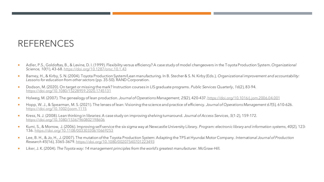#### REFERENCES

- Adler, P.S., Goldoftas, B., & Levine, D. I. (1999). Flexibility versus efficiency? A case study of model changeovers in the Toyota Production System. *Organizational Science, 10*(1), 43-68.<https://doi.org/10.1287/orsc.10.1.43>
- Barney, H., & Kirby, S. N. (2004). Toyota Production System/Lean manufacturing. In B. Stecher & S. N. Kirby (Eds.), *Organizational improvement and accountability: Lessons for education from other sectors* (pp. 35-50). RAND Corporation.
- Dodson, M. (2020). On target or missing the mark? Instruction courses in LIS graduate programs. Public Services Quarterly, 16(2), 83-94. <https://doi.org/10.1080/15228959.2020.1745131>
- Holweg, M. (2007). The genealogy of lean production. *Journal of Operations Management, 25*(2), 420-437.<https://doi.org/10.1016/j.jom.2006.04.001>
- Hopp, W. J., & Spearman, M. S. (2021). The lenses of lean: Visioning the science and practice of efficiency. *Journal of Operations Management 67*(5)*,* 610-626. <https://doi.org/10.1002/joom.1115>
- Kress, N. J. (2008). Lean thinking in libraries: A case study on improving shelving turnaround. *Journal of Access Services*, *5*(1-2), 159-172. <https://doi.org/10.1080/15367960802198606>
- Kumi, S., & Morrow, J. (2006). Improving self service the six sigma way at Newcastle University Library. *Program: electronic library and information systems*, *40*(2), 123- 136.<https://doi.org/10.1108/00330330610669253>
- Lee, B. H., & Jo, H., J. (2007). The mutation of the Toyota Production System: Adapting the TPS at Hyundai Motor Company. *International Journal of Production Research 45*(16), 3365-3679.<https://doi.org/10.1080/00207540701223493>
- Liker, J. K. (2004). *The Toyota way: 14 management principles from the world's greatest manufacturer*. McGraw-Hill.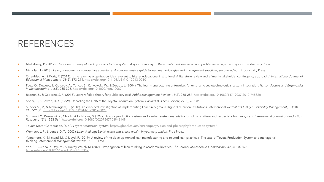#### REFERENCES

- Marksberry, P. (2012). *The modern theory of the Toyota production system: A systems inquiry of the world's most emulated and profitable management system*. Productivity Press.
- Nicholas, J. (2018). *Lean production for competitive advantage: A comprehensive guide to lean methodologies and management practices, second edition*. Productivity Press.
- Örtenblad, A., & Koris, R. (2014). Is the learning organization idea relevant to higher educational institutions? A literature review and a "multi-stakeholder contingency approach." *International Journal of Educational Management*, *28*(2), 173-214.<https://doi.org/10.1108/IJEM-01-2013-0010>
- Paez, O., Dewees, J., Genaidy, A., Tuncel, S., Karwowski, W., & Zurada, J. (2004). The lean manufacturing enterprise: An emerging sociotechnological system integration. *Human Factors and Ergonomics in Manufacturing*, *14*(3), 285-306.<https://doi.org/10.1002/hfm.10067>
- Radnor, Z., & Osborne, S. P. (2013). Lean: A failed theory for public services? *Public Management Review*, *15*(2), 265-287.<https://doi.org/10.1080/14719037.2012.748820>
- Spear, S., & Bowen, H. K. (1999). Decoding the DNA of the Toyota Production System. *Harvard Business Review, 77*(5), 96-106.
- Sunder M., V., & Mahalingam, S. (2018). An empirical investigation of implementing Lean Six Sigma in Higher Education Institutions. *International Journal of Quality & Reliability Management*, *35*(10), 2157-2180.<https://doi.org/10.1108/IJQRM-05-2017-0098>
- Sugimori, Y., Kusunoki, K., Cho, F., & Uchikawa, S. (1977). Toyota production system and Kanban system materialization of just-in-time and respect-for human system. *International Journal of Production Research, 15*(6), 553-564.<https://doi.org/10.1080/00207547708943149>
- Toyota Motor Corporation. (n.d.). *Toyota Production System.* <https://global.toyota/en/company/vision-and-philosophy/production-system/>
- Womack, J. P., & Jones, D. T. (2003). *Lean thinking: Banish waste and create wealth in your corporation*. Free Press.
- Yamamoto, K., Milstead, M., & Lloyd, R. (2019). A review of the development of lean manufacturing and related lean practices: The case of Toyota Production System and managerial thinking. *International Management Review*, *15*(2), 21-90.
- Yeh, S.-T., Arthaud-Day, M., & Turvey-Welch, M. (2021). Propagation of lean thinking in academic libraries. *The Journal of Academic Librarianship*, *47*(3), 102357. <https://doi.org/10.1016/j.acalib.2021.102357>